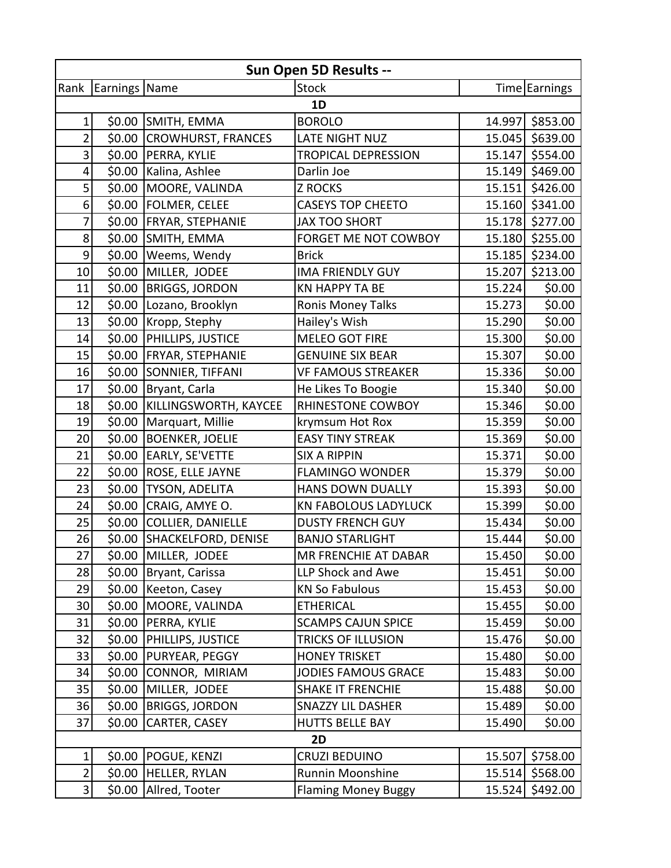| Sun Open 5D Results --  |               |                           |                             |        |                 |  |
|-------------------------|---------------|---------------------------|-----------------------------|--------|-----------------|--|
| Rank                    | Earnings Name |                           | <b>Stock</b>                |        | Time Earnings   |  |
| 1D                      |               |                           |                             |        |                 |  |
| 1                       |               | \$0.00 SMITH, EMMA        | <b>BOROLO</b>               |        | 14.997 \$853.00 |  |
| $\overline{\mathbf{c}}$ | \$0.00        | <b>CROWHURST, FRANCES</b> | <b>LATE NIGHT NUZ</b>       | 15.045 | \$639.00        |  |
| 3                       | \$0.00        | PERRA, KYLIE              | <b>TROPICAL DEPRESSION</b>  | 15.147 | \$554.00        |  |
| 4                       | \$0.00        | Kalina, Ashlee            | Darlin Joe                  |        | 15.149 \$469.00 |  |
| 5                       | \$0.00        | MOORE, VALINDA            | <b>Z ROCKS</b>              |        | 15.151 \$426.00 |  |
| $6 \overline{6}$        | \$0.00        | <b>FOLMER, CELEE</b>      | <b>CASEYS TOP CHEETO</b>    |        | 15.160 \$341.00 |  |
| $\overline{7}$          | \$0.00        | <b>FRYAR, STEPHANIE</b>   | <b>JAX TOO SHORT</b>        |        | 15.178 \$277.00 |  |
| 8                       |               | \$0.00 SMITH, EMMA        | FORGET ME NOT COWBOY        | 15.180 | \$255.00        |  |
| 9                       | \$0.00        | Weems, Wendy              | <b>Brick</b>                |        | 15.185 \$234.00 |  |
| 10                      | \$0.00        | MILLER, JODEE             | <b>IMA FRIENDLY GUY</b>     | 15.207 | \$213.00        |  |
| 11                      | \$0.00        | <b>BRIGGS, JORDON</b>     | KN HAPPY TA BE              | 15.224 | \$0.00          |  |
| 12                      | \$0.00        | Lozano, Brooklyn          | Ronis Money Talks           | 15.273 | \$0.00          |  |
| 13                      | \$0.00        | Kropp, Stephy             | Hailey's Wish               | 15.290 | \$0.00          |  |
| 14                      | \$0.00        | <b>PHILLIPS, JUSTICE</b>  | <b>MELEO GOT FIRE</b>       | 15.300 | \$0.00          |  |
| 15                      | \$0.00        | <b>FRYAR, STEPHANIE</b>   | <b>GENUINE SIX BEAR</b>     | 15.307 | \$0.00          |  |
| 16                      | \$0.00        | SONNIER, TIFFANI          | <b>VF FAMOUS STREAKER</b>   | 15.336 | \$0.00          |  |
| 17                      | \$0.00        | Bryant, Carla             | He Likes To Boogie          | 15.340 | \$0.00          |  |
| 18                      | \$0.00        | KILLINGSWORTH, KAYCEE     | RHINESTONE COWBOY           | 15.346 | \$0.00          |  |
| 19                      | \$0.00        | Marquart, Millie          | krymsum Hot Rox             | 15.359 | \$0.00          |  |
| 20                      | \$0.00        | <b>BOENKER, JOELIE</b>    | <b>EASY TINY STREAK</b>     | 15.369 | \$0.00          |  |
| 21                      | \$0.00        | <b>EARLY, SE'VETTE</b>    | <b>SIX A RIPPIN</b>         | 15.371 | \$0.00          |  |
| 22                      | \$0.00        | ROSE, ELLE JAYNE          | <b>FLAMINGO WONDER</b>      | 15.379 | \$0.00          |  |
| 23                      | \$0.00        | <b>TYSON, ADELITA</b>     | HANS DOWN DUALLY            | 15.393 | \$0.00          |  |
| 24                      | \$0.00        | CRAIG, AMYE O.            | <b>KN FABOLOUS LADYLUCK</b> | 15.399 | \$0.00          |  |
| 25                      | \$0.00        | <b>COLLIER, DANIELLE</b>  | <b>DUSTY FRENCH GUY</b>     | 15.434 | \$0.00          |  |
| 26                      | \$0.00        | SHACKELFORD, DENISE       | <b>BANJO STARLIGHT</b>      | 15.444 | \$0.00          |  |
| 27                      |               | \$0.00 MILLER, JODEE      | MR FRENCHIE AT DABAR        | 15.450 | \$0.00          |  |
| 28                      | \$0.00        | Bryant, Carissa           | LLP Shock and Awe           | 15.451 | \$0.00          |  |
| 29                      | \$0.00        | Keeton, Casey             | <b>KN So Fabulous</b>       | 15.453 | \$0.00          |  |
| 30                      | \$0.00        | <b>MOORE, VALINDA</b>     | <b>ETHERICAL</b>            | 15.455 | \$0.00          |  |
| 31                      | \$0.00        | <b>PERRA, KYLIE</b>       | <b>SCAMPS CAJUN SPICE</b>   | 15.459 | \$0.00          |  |
| 32                      | \$0.00        | <b>PHILLIPS, JUSTICE</b>  | <b>TRICKS OF ILLUSION</b>   | 15.476 | \$0.00          |  |
| 33                      | \$0.00        | <b>PURYEAR, PEGGY</b>     | <b>HONEY TRISKET</b>        | 15.480 | \$0.00          |  |
| 34                      | \$0.00        | CONNOR, MIRIAM            | <b>JODIES FAMOUS GRACE</b>  | 15.483 | \$0.00          |  |
| 35                      | \$0.00        | MILLER, JODEE             | <b>SHAKE IT FRENCHIE</b>    | 15.488 | \$0.00          |  |
| 36                      | \$0.00        | <b>BRIGGS, JORDON</b>     | <b>SNAZZY LIL DASHER</b>    | 15.489 | \$0.00          |  |
| 37                      | \$0.00        | CARTER, CASEY             | <b>HUTTS BELLE BAY</b>      | 15.490 | \$0.00          |  |
|                         |               |                           | 2D                          |        |                 |  |
| $\mathbf{1}$            | \$0.00        | <b>POGUE, KENZI</b>       | CRUZI BEDUINO               | 15.507 | \$758.00        |  |
| $\overline{2}$          | \$0.00        | <b>HELLER, RYLAN</b>      | Runnin Moonshine            | 15.514 | \$568.00        |  |
| $\overline{\mathbf{3}}$ | \$0.00        | Allred, Tooter            | <b>Flaming Money Buggy</b>  | 15.524 | \$492.00        |  |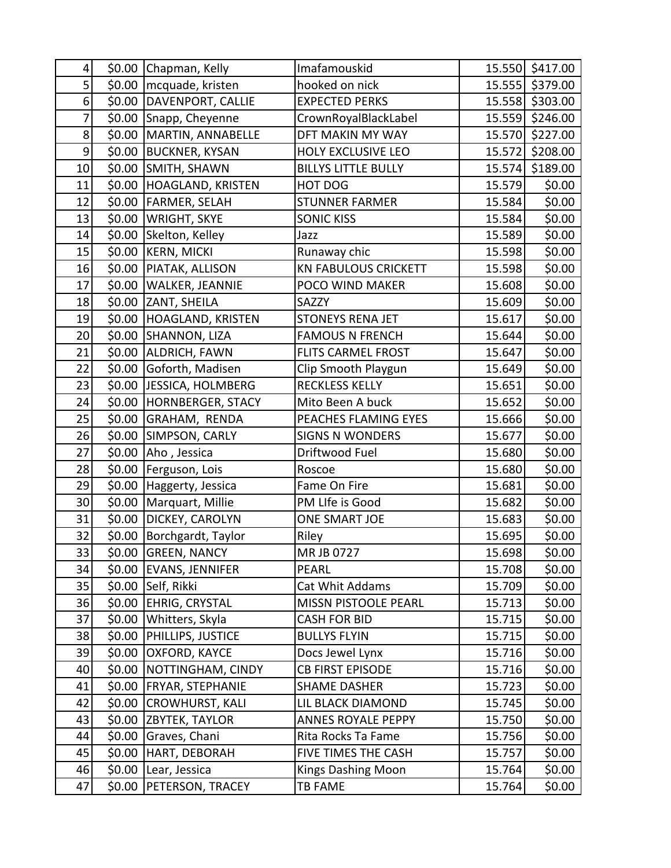| 4                | \$0.00 | Chapman, Kelly              | Imafamouskid                |        | 15.550 \$417.00 |
|------------------|--------|-----------------------------|-----------------------------|--------|-----------------|
| 5                | \$0.00 | mcquade, kristen            | hooked on nick              |        | 15.555 \$379.00 |
| 6                | \$0.00 | DAVENPORT, CALLIE           | <b>EXPECTED PERKS</b>       |        | 15.558 \$303.00 |
| 7                | \$0.00 | Snapp, Cheyenne             | CrownRoyalBlackLabel        |        | 15.559 \$246.00 |
| 8                | \$0.00 | MARTIN, ANNABELLE           | DFT MAKIN MY WAY            |        | 15.570 \$227.00 |
| $\boldsymbol{9}$ | \$0.00 | <b>BUCKNER, KYSAN</b>       | HOLY EXCLUSIVE LEO          | 15.572 | \$208.00        |
| 10               | \$0.00 | SMITH, SHAWN                | <b>BILLYS LITTLE BULLY</b>  |        | 15.574 \$189.00 |
| 11               | \$0.00 | <b>HOAGLAND, KRISTEN</b>    | HOT DOG                     | 15.579 | \$0.00          |
| 12               | \$0.00 | <b>FARMER, SELAH</b>        | <b>STUNNER FARMER</b>       | 15.584 | \$0.00          |
| 13               | \$0.00 | <b>WRIGHT, SKYE</b>         | <b>SONIC KISS</b>           | 15.584 | \$0.00          |
| 14               | \$0.00 | Skelton, Kelley             | Jazz                        | 15.589 | \$0.00          |
| 15               | \$0.00 | <b>KERN, MICKI</b>          | Runaway chic                | 15.598 | \$0.00          |
| 16               | \$0.00 | PIATAK, ALLISON             | <b>KN FABULOUS CRICKETT</b> | 15.598 | \$0.00          |
| 17               | \$0.00 | <b>WALKER, JEANNIE</b>      | POCO WIND MAKER             | 15.608 | \$0.00          |
| 18               | \$0.00 | ZANT, SHEILA                | SAZZY                       | 15.609 | \$0.00          |
| 19               | \$0.00 | HOAGLAND, KRISTEN           | <b>STONEYS RENA JET</b>     | 15.617 | \$0.00          |
| 20               | \$0.00 | SHANNON, LIZA               | <b>FAMOUS N FRENCH</b>      | 15.644 | \$0.00          |
| 21               | \$0.00 | <b>ALDRICH, FAWN</b>        | <b>FLITS CARMEL FROST</b>   | 15.647 | \$0.00          |
| 22               | \$0.00 | Goforth, Madisen            | Clip Smooth Playgun         | 15.649 | \$0.00          |
| 23               | \$0.00 | JESSICA, HOLMBERG           | RECKLESS KELLY              | 15.651 | \$0.00          |
| 24               | \$0.00 | HORNBERGER, STACY           | Mito Been A buck            | 15.652 | \$0.00          |
| 25               | \$0.00 | GRAHAM, RENDA               | PEACHES FLAMING EYES        | 15.666 | \$0.00          |
| 26               | \$0.00 | SIMPSON, CARLY              | <b>SIGNS N WONDERS</b>      | 15.677 | \$0.00          |
| 27               | \$0.00 | Aho, Jessica                | Driftwood Fuel              | 15.680 | \$0.00          |
| 28               | \$0.00 | Ferguson, Lois              | Roscoe                      | 15.680 | \$0.00          |
| 29               | \$0.00 | Haggerty, Jessica           | Fame On Fire                | 15.681 | \$0.00          |
| 30               | \$0.00 | Marquart, Millie            | PM LIfe is Good             | 15.682 | \$0.00          |
| 31               |        | \$0.00 DICKEY, CAROLYN      | ONE SMART JOE               | 15.683 | \$0.00          |
| 32               |        | \$0.00   Borchgardt, Taylor | Riley                       | 15.695 | \$0.00          |
| 33               |        | \$0.00 GREEN, NANCY         | MR JB 0727                  | 15.698 | \$0.00          |
| 34               | \$0.00 | <b>EVANS, JENNIFER</b>      | <b>PEARL</b>                | 15.708 | \$0.00          |
| 35               | \$0.00 | Self, Rikki                 | Cat Whit Addams             | 15.709 | \$0.00          |
| 36               | \$0.00 | <b>EHRIG, CRYSTAL</b>       | MISSN PISTOOLE PEARL        | 15.713 | \$0.00          |
| 37               | \$0.00 | Whitters, Skyla             | <b>CASH FOR BID</b>         | 15.715 | \$0.00          |
| 38               | \$0.00 | PHILLIPS, JUSTICE           | <b>BULLYS FLYIN</b>         | 15.715 | \$0.00          |
| 39               | \$0.00 | OXFORD, KAYCE               | Docs Jewel Lynx             | 15.716 | \$0.00          |
| 40               | \$0.00 | NOTTINGHAM, CINDY           | <b>CB FIRST EPISODE</b>     | 15.716 | \$0.00          |
| 41               | \$0.00 | <b>FRYAR, STEPHANIE</b>     | <b>SHAME DASHER</b>         | 15.723 | \$0.00          |
| 42               | \$0.00 | <b>CROWHURST, KALI</b>      | LIL BLACK DIAMOND           | 15.745 | \$0.00          |
| 43               | \$0.00 | <b>ZBYTEK, TAYLOR</b>       | <b>ANNES ROYALE PEPPY</b>   | 15.750 | \$0.00          |
| 44               | \$0.00 | Graves, Chani               | Rita Rocks Ta Fame          | 15.756 | \$0.00          |
| 45               | \$0.00 | HART, DEBORAH               | FIVE TIMES THE CASH         | 15.757 | \$0.00          |
| 46               | \$0.00 | Lear, Jessica               | <b>Kings Dashing Moon</b>   | 15.764 | \$0.00          |
| 47               | \$0.00 | PETERSON, TRACEY            | TB FAME                     | 15.764 | \$0.00          |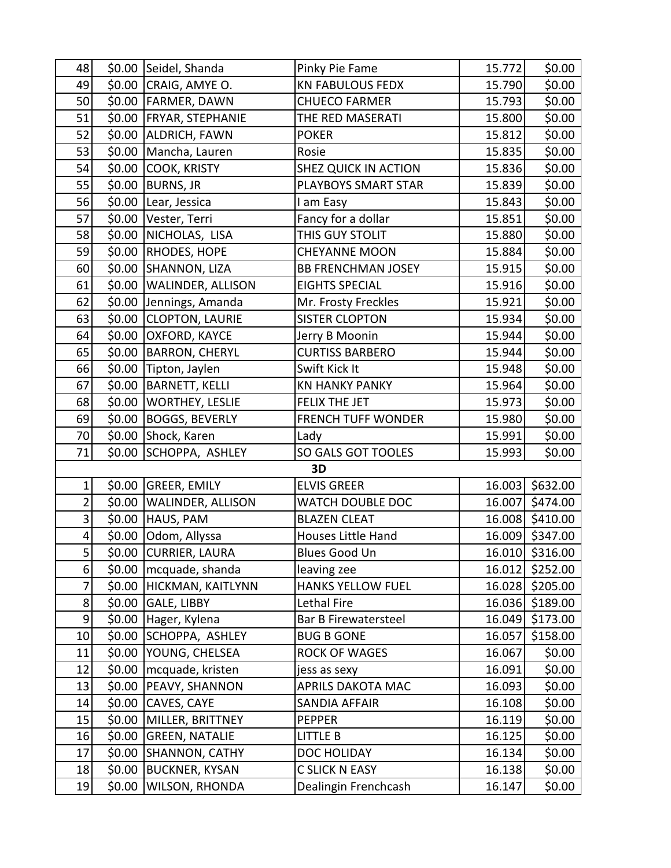| 48                      |        | \$0.00 Seidel, Shanda      | Pinky Pie Fame              | 15.772 | \$0.00          |
|-------------------------|--------|----------------------------|-----------------------------|--------|-----------------|
| 49                      |        | \$0.00 CRAIG, AMYE O.      | <b>KN FABULOUS FEDX</b>     | 15.790 | \$0.00          |
| 50                      |        | \$0.00 FARMER, DAWN        | <b>CHUECO FARMER</b>        | 15.793 | \$0.00          |
| 51                      |        | \$0.00 FRYAR, STEPHANIE    | THE RED MASERATI            | 15.800 | \$0.00          |
| 52                      | \$0.00 | <b>ALDRICH, FAWN</b>       | <b>POKER</b>                | 15.812 | \$0.00          |
| 53                      | \$0.00 | Mancha, Lauren             | Rosie                       | 15.835 | \$0.00          |
| 54                      | \$0.00 | <b>COOK, KRISTY</b>        | <b>SHEZ QUICK IN ACTION</b> | 15.836 | \$0.00          |
| 55                      | \$0.00 | <b>BURNS, JR</b>           | PLAYBOYS SMART STAR         | 15.839 | \$0.00          |
| 56                      |        | \$0.00 Lear, Jessica       | I am Easy                   | 15.843 | \$0.00          |
| 57                      |        | \$0.00 Vester, Terri       | Fancy for a dollar          | 15.851 | \$0.00          |
| 58                      | \$0.00 | NICHOLAS, LISA             | THIS GUY STOLIT             | 15.880 | \$0.00          |
| 59                      | \$0.00 | RHODES, HOPE               | <b>CHEYANNE MOON</b>        | 15.884 | \$0.00          |
| 60                      | \$0.00 | SHANNON, LIZA              | <b>BB FRENCHMAN JOSEY</b>   | 15.915 | \$0.00          |
| 61                      | \$0.00 | <b>WALINDER, ALLISON</b>   | <b>EIGHTS SPECIAL</b>       | 15.916 | \$0.00          |
| 62                      | \$0.00 | Jennings, Amanda           | Mr. Frosty Freckles         | 15.921 | \$0.00          |
| 63                      | \$0.00 | <b>CLOPTON, LAURIE</b>     | <b>SISTER CLOPTON</b>       | 15.934 | \$0.00          |
| 64                      | \$0.00 | <b>OXFORD, KAYCE</b>       | Jerry B Moonin              | 15.944 | \$0.00          |
| 65                      | \$0.00 | <b>BARRON, CHERYL</b>      | <b>CURTISS BARBERO</b>      | 15.944 | \$0.00          |
| 66                      | \$0.00 | Tipton, Jaylen             | Swift Kick It               | 15.948 | \$0.00          |
| 67                      | \$0.00 | <b>BARNETT, KELLI</b>      | <b>KN HANKY PANKY</b>       | 15.964 | \$0.00          |
| 68                      | \$0.00 | <b>WORTHEY, LESLIE</b>     | FELIX THE JET               | 15.973 | \$0.00          |
| 69                      | \$0.00 | <b>BOGGS, BEVERLY</b>      | <b>FRENCH TUFF WONDER</b>   | 15.980 | \$0.00          |
| 70                      | \$0.00 | Shock, Karen               | Lady                        | 15.991 | \$0.00          |
| 71                      | \$0.00 | SCHOPPA, ASHLEY            | SO GALS GOT TOOLES          | 15.993 | \$0.00          |
|                         |        |                            | 3D                          |        |                 |
| 1                       | \$0.00 | <b>GREER, EMILY</b>        | <b>ELVIS GREER</b>          |        | 16.003 \$632.00 |
| $\overline{\mathbf{c}}$ |        | \$0.00   WALINDER, ALLISON | WATCH DOUBLE DOC            |        | 16.007 \$474.00 |
| 3                       |        | \$0.00 HAUS, PAM           | <b>BLAZEN CLEAT</b>         |        | 16.008 \$410.00 |
| 4                       |        | \$0.00 Odom, Allyssa       | Houses Little Hand          |        | 16.009 \$347.00 |
| $\mathsf{S}$            |        | \$0.00 CURRIER, LAURA      | <b>Blues Good Un</b>        |        | 16.010 \$316.00 |
| 6                       | \$0.00 | mcquade, shanda            | leaving zee                 | 16.012 | \$252.00        |
| 7                       |        | \$0.00 HICKMAN, KAITLYNN   | <b>HANKS YELLOW FUEL</b>    |        | 16.028 \$205.00 |
| 8                       |        | $$0.00$ GALE, LIBBY        | Lethal Fire                 |        | 16.036 \$189.00 |
| 9                       | \$0.00 | Hager, Kylena              | Bar B Firewatersteel        | 16.049 | \$173.00        |
| 10                      | \$0.00 | SCHOPPA, ASHLEY            | <b>BUG B GONE</b>           | 16.057 | \$158.00        |
| 11                      | \$0.00 | YOUNG, CHELSEA             | ROCK OF WAGES               | 16.067 | \$0.00          |
| 12                      | \$0.00 | mcquade, kristen           | jess as sexy                | 16.091 | \$0.00          |
| 13                      | \$0.00 | <b>PEAVY, SHANNON</b>      | <b>APRILS DAKOTA MAC</b>    | 16.093 | \$0.00          |
| 14                      | \$0.00 | CAVES, CAYE                | SANDIA AFFAIR               | 16.108 | \$0.00          |
| 15                      | \$0.00 | MILLER, BRITTNEY           | <b>PEPPER</b>               | 16.119 | \$0.00          |
| 16                      | \$0.00 | <b>GREEN, NATALIE</b>      | LITTLE B                    | 16.125 | \$0.00          |
| 17                      | \$0.00 | <b>SHANNON, CATHY</b>      | DOC HOLIDAY                 | 16.134 | \$0.00          |
| 18                      | \$0.00 | <b>BUCKNER, KYSAN</b>      | C SLICK N EASY              | 16.138 | \$0.00          |
| 19                      | \$0.00 | WILSON, RHONDA             | Dealingin Frenchcash        | 16.147 | \$0.00          |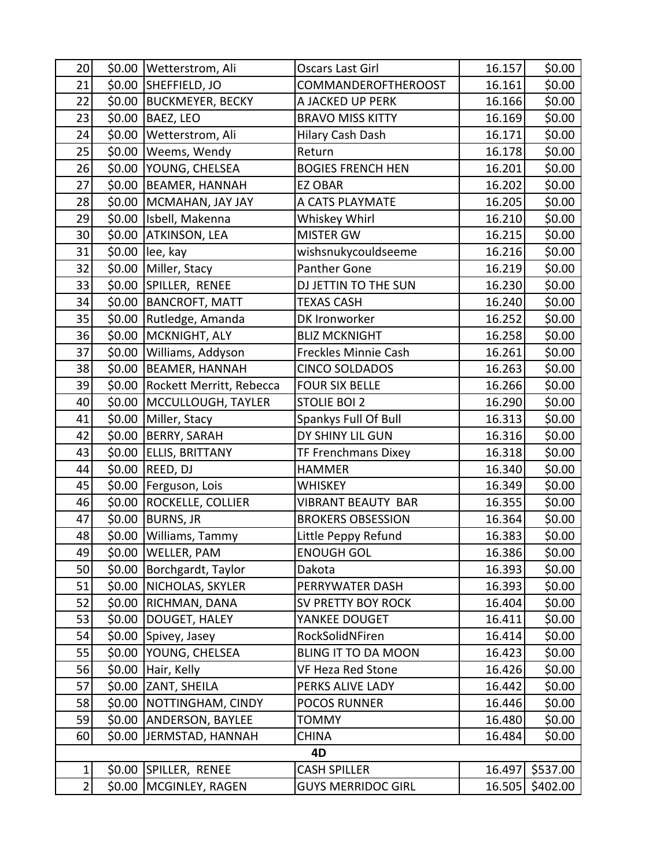| 20             | \$0.00 | Wetterstrom, Ali          | Oscars Last Girl            | 16.157 | \$0.00          |
|----------------|--------|---------------------------|-----------------------------|--------|-----------------|
| 21             | \$0.00 | SHEFFIELD, JO             | COMMANDEROFTHEROOST         | 16.161 | \$0.00          |
| 22             | \$0.00 | <b>BUCKMEYER, BECKY</b>   | A JACKED UP PERK            | 16.166 | \$0.00          |
| 23             | \$0.00 | <b>BAEZ, LEO</b>          | <b>BRAVO MISS KITTY</b>     | 16.169 | \$0.00          |
| 24             | \$0.00 | Wetterstrom, Ali          | Hilary Cash Dash            | 16.171 | \$0.00          |
| 25             | \$0.00 | Weems, Wendy              | Return                      | 16.178 | \$0.00          |
| 26             | \$0.00 | YOUNG, CHELSEA            | <b>BOGIES FRENCH HEN</b>    | 16.201 | \$0.00          |
| 27             | \$0.00 | <b>BEAMER, HANNAH</b>     | <b>EZ OBAR</b>              | 16.202 | \$0.00          |
| 28             | \$0.00 | MCMAHAN, JAY JAY          | A CATS PLAYMATE             | 16.205 | \$0.00          |
| 29             | \$0.00 | Isbell, Makenna           | Whiskey Whirl               | 16.210 | \$0.00          |
| 30             | \$0.00 | <b>ATKINSON, LEA</b>      | <b>MISTER GW</b>            | 16.215 | \$0.00          |
| 31             | \$0.00 | lee, kay                  | wishsnukycouldseeme         | 16.216 | \$0.00          |
| 32             | \$0.00 | Miller, Stacy             | Panther Gone                | 16.219 | \$0.00          |
| 33             | \$0.00 | SPILLER, RENEE            | DJ JETTIN TO THE SUN        | 16.230 | \$0.00          |
| 34             | \$0.00 | <b>BANCROFT, MATT</b>     | <b>TEXAS CASH</b>           | 16.240 | \$0.00          |
| 35             | \$0.00 | Rutledge, Amanda          | DK Ironworker               | 16.252 | \$0.00          |
| 36             | \$0.00 | MCKNIGHT, ALY             | <b>BLIZ MCKNIGHT</b>        | 16.258 | \$0.00          |
| 37             | \$0.00 | Williams, Addyson         | <b>Freckles Minnie Cash</b> | 16.261 | \$0.00          |
| 38             | \$0.00 | <b>BEAMER, HANNAH</b>     | <b>CINCO SOLDADOS</b>       | 16.263 | \$0.00          |
| 39             | \$0.00 | Rockett Merritt, Rebecca  | <b>FOUR SIX BELLE</b>       | 16.266 | \$0.00          |
| 40             | \$0.00 | MCCULLOUGH, TAYLER        | <b>STOLIE BOI 2</b>         | 16.290 | \$0.00          |
| 41             | \$0.00 | Miller, Stacy             | Spankys Full Of Bull        | 16.313 | \$0.00          |
| 42             | \$0.00 | <b>BERRY, SARAH</b>       | DY SHINY LIL GUN            | 16.316 | \$0.00          |
| 43             | \$0.00 | <b>ELLIS, BRITTANY</b>    | TF Frenchmans Dixey         | 16.318 | \$0.00          |
| 44             | \$0.00 | REED, DJ                  | <b>HAMMER</b>               | 16.340 | \$0.00          |
| 45             | \$0.00 | Ferguson, Lois            | <b>WHISKEY</b>              | 16.349 | \$0.00          |
| 46             | \$0.00 | <b>ROCKELLE, COLLIER</b>  | <b>VIBRANT BEAUTY BAR</b>   | 16.355 | \$0.00          |
| 47             | \$0.00 | <b>BURNS, JR</b>          | <b>BROKERS OBSESSION</b>    | 16.364 | \$0.00          |
| 48             | \$0.00 | Williams, Tammy           | Little Peppy Refund         | 16.383 | \$0.00          |
| 49             |        | \$0.00 WELLER, PAM        | <b>ENOUGH GOL</b>           | 16.386 | \$0.00          |
| 50             | \$0.00 | Borchgardt, Taylor        | Dakota                      | 16.393 | \$0.00          |
| 51             |        | \$0.00   NICHOLAS, SKYLER | PERRYWATER DASH             | 16.393 | \$0.00          |
| 52             |        | \$0.00 RICHMAN, DANA      | SV PRETTY BOY ROCK          | 16.404 | \$0.00          |
| 53             |        | \$0.00  DOUGET, HALEY     | YANKEE DOUGET               | 16.411 | \$0.00          |
| 54             | \$0.00 | Spivey, Jasey             | RockSolidNFiren             | 16.414 | \$0.00          |
| 55             | \$0.00 | <b>YOUNG, CHELSEA</b>     | <b>BLING IT TO DA MOON</b>  | 16.423 | \$0.00          |
| 56             | \$0.00 | Hair, Kelly               | VF Heza Red Stone           | 16.426 | \$0.00          |
| 57             | \$0.00 | ZANT, SHEILA              | PERKS ALIVE LADY            | 16.442 | \$0.00          |
| 58             | \$0.00 | NOTTINGHAM, CINDY         | <b>POCOS RUNNER</b>         | 16.446 | \$0.00          |
| 59             | \$0.00 | ANDERSON, BAYLEE          | <b>TOMMY</b>                | 16.480 | \$0.00          |
| 60             | \$0.00 | JERMSTAD, HANNAH          | <b>CHINA</b>                | 16.484 | \$0.00          |
|                |        |                           | 4D                          |        |                 |
| $\mathbf{1}$   | \$0.00 | SPILLER, RENEE            | <b>CASH SPILLER</b>         | 16.497 | \$537.00        |
| $\overline{2}$ |        | \$0.00   MCGINLEY, RAGEN  | <b>GUYS MERRIDOC GIRL</b>   |        | 16.505 \$402.00 |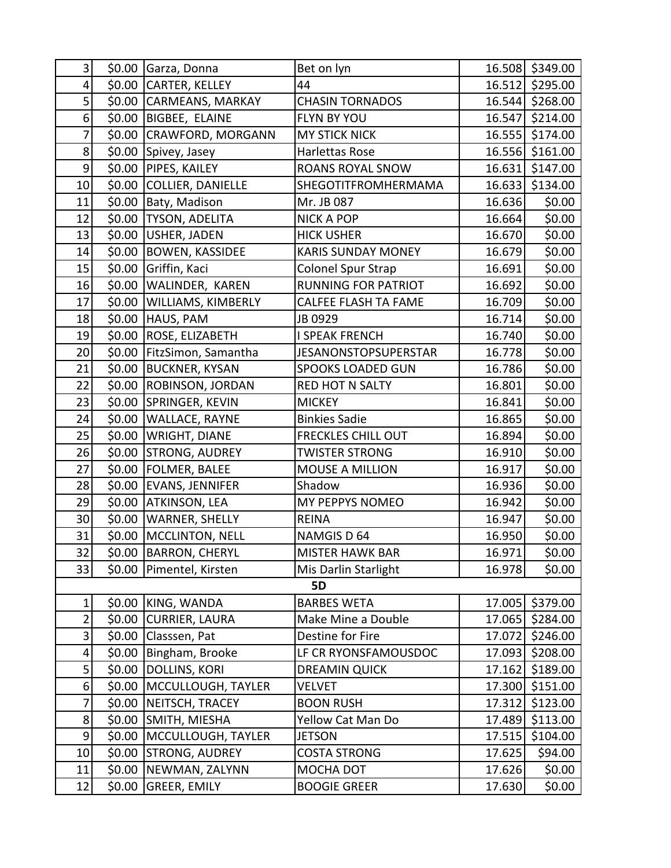| 3                |        | \$0.00 Garza, Donna      | Bet on lyn                  |        | 16.508 \$349.00 |
|------------------|--------|--------------------------|-----------------------------|--------|-----------------|
| 4                | \$0.00 | <b>CARTER, KELLEY</b>    | 44                          |        | 16.512 \$295.00 |
| 5                | \$0.00 | <b>CARMEANS, MARKAY</b>  | <b>CHASIN TORNADOS</b>      |        | 16.544 \$268.00 |
| 6                | \$0.00 | BIGBEE, ELAINE           | <b>FLYN BY YOU</b>          |        | 16.547 \$214.00 |
| 7                | \$0.00 | CRAWFORD, MORGANN        | <b>MY STICK NICK</b>        |        | 16.555 \$174.00 |
| 8                | \$0.00 | Spivey, Jasey            | Harlettas Rose              |        | 16.556 \$161.00 |
| 9                | \$0.00 | <b>PIPES, KAILEY</b>     | <b>ROANS ROYAL SNOW</b>     | 16.631 | \$147.00        |
| 10               | \$0.00 | <b>COLLIER, DANIELLE</b> | SHEGOTITFROMHERMAMA         |        | 16.633 \$134.00 |
| 11               | \$0.00 | Baty, Madison            | Mr. JB 087                  | 16.636 | \$0.00          |
| 12               | \$0.00 | TYSON, ADELITA           | <b>NICK A POP</b>           | 16.664 | \$0.00          |
| 13               | \$0.00 | USHER, JADEN             | <b>HICK USHER</b>           | 16.670 | \$0.00          |
| 14               | \$0.00 | <b>BOWEN, KASSIDEE</b>   | <b>KARIS SUNDAY MONEY</b>   | 16.679 | \$0.00          |
| 15               | \$0.00 | Griffin, Kaci            | <b>Colonel Spur Strap</b>   | 16.691 | \$0.00          |
| 16               | \$0.00 | WALINDER, KAREN          | <b>RUNNING FOR PATRIOT</b>  | 16.692 | \$0.00          |
| 17               | \$0.00 | WILLIAMS, KIMBERLY       | <b>CALFEE FLASH TA FAME</b> | 16.709 | \$0.00          |
| 18               | \$0.00 | HAUS, PAM                | JB 0929                     | 16.714 | \$0.00          |
| 19               | \$0.00 | <b>ROSE, ELIZABETH</b>   | <b>I SPEAK FRENCH</b>       | 16.740 | \$0.00          |
| 20               | \$0.00 | FitzSimon, Samantha      | <b>JESANONSTOPSUPERSTAR</b> | 16.778 | \$0.00          |
| 21               | \$0.00 | <b>BUCKNER, KYSAN</b>    | <b>SPOOKS LOADED GUN</b>    | 16.786 | \$0.00          |
| 22               | \$0.00 | <b>ROBINSON, JORDAN</b>  | <b>RED HOT N SALTY</b>      | 16.801 | \$0.00          |
| 23               | \$0.00 | SPRINGER, KEVIN          | <b>MICKEY</b>               | 16.841 | \$0.00          |
| 24               | \$0.00 | WALLACE, RAYNE           | <b>Binkies Sadie</b>        | 16.865 | \$0.00          |
| 25               | \$0.00 | <b>WRIGHT, DIANE</b>     | <b>FRECKLES CHILL OUT</b>   | 16.894 | \$0.00          |
| 26               | \$0.00 | <b>STRONG, AUDREY</b>    | <b>TWISTER STRONG</b>       | 16.910 | \$0.00          |
| 27               | \$0.00 | <b>FOLMER, BALEE</b>     | <b>MOUSE A MILLION</b>      | 16.917 | \$0.00          |
| 28               | \$0.00 | <b>EVANS, JENNIFER</b>   | Shadow                      | 16.936 | \$0.00          |
| 29               |        | \$0.00 ATKINSON, LEA     | MY PEPPYS NOMEO             | 16.942 | \$0.00          |
| 30               |        | \$0.00   WARNER, SHELLY  | <b>REINA</b>                | 16.947 | \$0.00          |
| 31               | \$0.00 | MCCLINTON, NELL          | NAMGIS D 64                 | 16.950 | \$0.00          |
| 32               |        | \$0.00 BARRON, CHERYL    | <b>MISTER HAWK BAR</b>      | 16.971 | \$0.00          |
| 33               | \$0.00 | Pimentel, Kirsten        | Mis Darlin Starlight        | 16.978 | \$0.00          |
|                  |        |                          | 5D                          |        |                 |
| 1                | \$0.00 | KING, WANDA              | <b>BARBES WETA</b>          |        | 17.005 \$379.00 |
| $\overline{2}$   | \$0.00 | <b>CURRIER, LAURA</b>    | Make Mine a Double          | 17.065 | \$284.00        |
| 3                | \$0.00 | Classsen, Pat            | Destine for Fire            | 17.072 | \$246.00        |
| 4                | \$0.00 | Bingham, Brooke          | LF CR RYONSFAMOUSDOC        | 17.093 | \$208.00        |
| 5                | \$0.00 | DOLLINS, KORI            | <b>DREAMIN QUICK</b>        | 17.162 | \$189.00        |
| $\boldsymbol{6}$ | \$0.00 | MCCULLOUGH, TAYLER       | <b>VELVET</b>               | 17.300 | \$151.00        |
| $\overline{7}$   | \$0.00 | NEITSCH, TRACEY          | <b>BOON RUSH</b>            | 17.312 | \$123.00        |
| 8                | \$0.00 | SMITH, MIESHA            | Yellow Cat Man Do           | 17.489 | \$113.00        |
| 9                | \$0.00 | MCCULLOUGH, TAYLER       | <b>JETSON</b>               | 17.515 | \$104.00        |
| 10               | \$0.00 | <b>STRONG, AUDREY</b>    | <b>COSTA STRONG</b>         | 17.625 | \$94.00         |
| 11               | \$0.00 | NEWMAN, ZALYNN           | MOCHA DOT                   | 17.626 | \$0.00          |
| 12               | \$0.00 | GREER, EMILY             | <b>BOOGIE GREER</b>         | 17.630 | \$0.00          |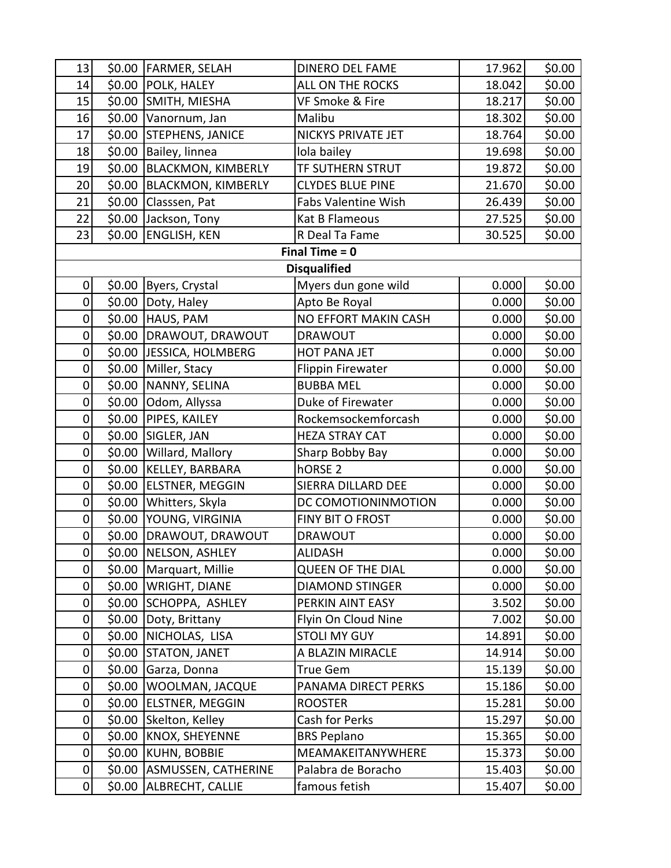| 13               |        | \$0.00   FARMER, SELAH            | <b>DINERO DEL FAME</b>   | 17.962 | \$0.00 |
|------------------|--------|-----------------------------------|--------------------------|--------|--------|
| 14               |        | \$0.00 POLK, HALEY                | ALL ON THE ROCKS         | 18.042 | \$0.00 |
| 15               |        | \$0.00 SMITH, MIESHA              | VF Smoke & Fire          | 18.217 | \$0.00 |
| 16               |        | \$0.00 Vanornum, Jan              | Malibu                   | 18.302 | \$0.00 |
| 17               |        | \$0.00 STEPHENS, JANICE           | NICKYS PRIVATE JET       | 18.764 | \$0.00 |
| 18               | \$0.00 | Bailey, linnea                    | lola bailey              | 19.698 | \$0.00 |
| 19               | \$0.00 | <b>BLACKMON, KIMBERLY</b>         | TF SUTHERN STRUT         | 19.872 | \$0.00 |
| 20               |        | \$0.00 BLACKMON, KIMBERLY         | <b>CLYDES BLUE PINE</b>  | 21.670 | \$0.00 |
| 21               |        | \$0.00 Classsen, Pat              | Fabs Valentine Wish      | 26.439 | \$0.00 |
| 22               |        | \$0.00 Jackson, Tony              | Kat B Flameous           | 27.525 | \$0.00 |
| 23               |        | \$0.00 ENGLISH, KEN               | R Deal Ta Fame           | 30.525 | \$0.00 |
|                  |        |                                   | Final Time $= 0$         |        |        |
|                  |        |                                   | <b>Disqualified</b>      |        |        |
| 0                | \$0.00 | Byers, Crystal                    | Myers dun gone wild      | 0.000  | \$0.00 |
| $\overline{0}$   |        | \$0.00 Doty, Haley                | Apto Be Royal            | 0.000  | \$0.00 |
| 0                |        | \$0.00 HAUS, PAM                  | NO EFFORT MAKIN CASH     | 0.000  | \$0.00 |
| $\mathbf 0$      |        | \$0.00   DRAWOUT, DRAWOUT         | <b>DRAWOUT</b>           | 0.000  | \$0.00 |
| 0                |        | \$0.00 JJESSICA, HOLMBERG         | <b>HOT PANA JET</b>      | 0.000  | \$0.00 |
| 0                |        | \$0.00 Miller, Stacy              | <b>Flippin Firewater</b> | 0.000  | \$0.00 |
| 0                |        | \$0.00   NANNY, SELINA            | <b>BUBBA MEL</b>         | 0.000  | \$0.00 |
| $\pmb{0}$        |        | \$0.00 Odom, Allyssa              | Duke of Firewater        | 0.000  | \$0.00 |
| $\mathbf 0$      |        | \$0.00 PIPES, KAILEY              | Rockemsockemforcash      | 0.000  | \$0.00 |
| $\mathbf 0$      | \$0.00 | SIGLER, JAN                       | <b>HEZA STRAY CAT</b>    | 0.000  | \$0.00 |
| 0                |        | \$0.00 Willard, Mallory           | Sharp Bobby Bay          | 0.000  | \$0.00 |
| 0                | \$0.00 | <b>KELLEY, BARBARA</b>            | hORSE <sub>2</sub>       | 0.000  | \$0.00 |
| $\mathbf 0$      |        | \$0.00 ELSTNER, MEGGIN            | SIERRA DILLARD DEE       | 0.000  | \$0.00 |
| $\mathbf 0$      |        | \$0.00 Whitters, Skyla            | DC COMOTIONINMOTION      | 0.000  | \$0.00 |
| $\mathbf 0$      |        | \$0.00 YOUNG, VIRGINIA            | FINY BIT O FROST         | 0.000  | \$0.00 |
| $\mathbf 0$      |        | \$0.00 DRAWOUT, DRAWOUT           | <b>DRAWOUT</b>           | 0.000  | \$0.00 |
| $\overline{0}$   |        | $\overline{$0.00}$ NELSON, ASHLEY | <b>ALIDASH</b>           | 0.000  | \$0.00 |
| 0                |        | \$0.00   Marquart, Millie         | <b>QUEEN OF THE DIAL</b> | 0.000  | \$0.00 |
| 0                |        | \$0.00   WRIGHT, DIANE            | <b>DIAMOND STINGER</b>   | 0.000  | \$0.00 |
| 0                |        | \$0.00 SCHOPPA, ASHLEY            | PERKIN AINT EASY         | 3.502  | \$0.00 |
| $\pmb{0}$        |        | \$0.00   Doty, Brittany           | Flyin On Cloud Nine      | 7.002  | \$0.00 |
| $\pmb{0}$        |        | \$0.00 NICHOLAS, LISA             | <b>STOLI MY GUY</b>      | 14.891 | \$0.00 |
| 0                |        | \$0.00 STATON, JANET              | A BLAZIN MIRACLE         | 14.914 | \$0.00 |
| 0                | \$0.00 | Garza, Donna                      | <b>True Gem</b>          | 15.139 | \$0.00 |
| 0                | \$0.00 | WOOLMAN, JACQUE                   | PANAMA DIRECT PERKS      | 15.186 | \$0.00 |
| 0                |        | \$0.00 ELSTNER, MEGGIN            | <b>ROOSTER</b>           | 15.281 | \$0.00 |
| 0                |        | \$0.00 Skelton, Kelley            | Cash for Perks           | 15.297 | \$0.00 |
| $\mathbf 0$      |        | \$0.00 KNOX, SHEYENNE             | <b>BRS Peplano</b>       | 15.365 | \$0.00 |
| $\mathbf 0$      |        | \$0.00 KUHN, BOBBIE               | MEAMAKEITANYWHERE        | 15.373 | \$0.00 |
| $\boldsymbol{0}$ |        | \$0.00 ASMUSSEN, CATHERINE        | Palabra de Boracho       | 15.403 | \$0.00 |
| $\overline{0}$   |        | \$0.00 ALBRECHT, CALLIE           | famous fetish            | 15.407 | \$0.00 |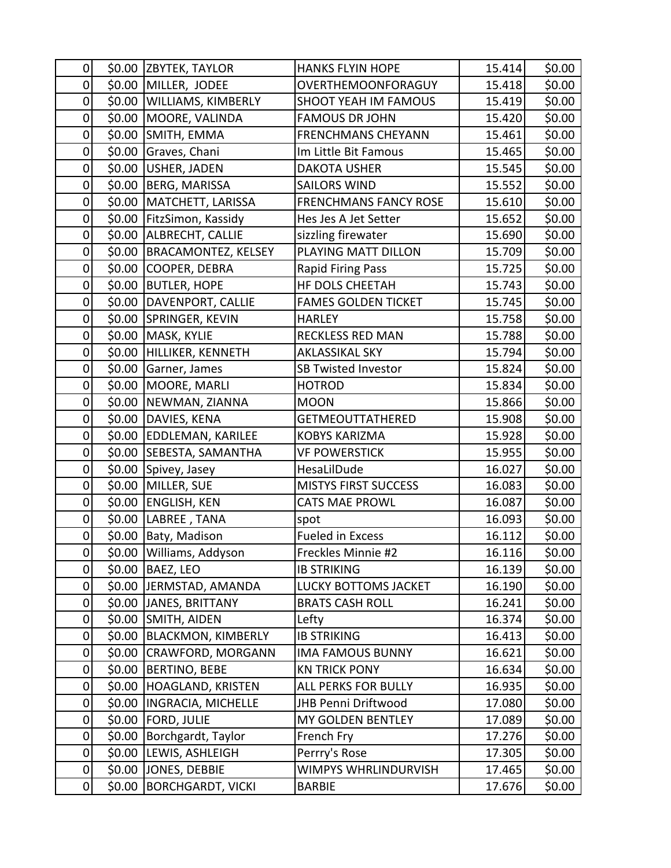| 0                |        | \$0.00 ZBYTEK, TAYLOR      | <b>HANKS FLYIN HOPE</b>      | 15.414 | \$0.00 |
|------------------|--------|----------------------------|------------------------------|--------|--------|
| 0                | \$0.00 | MILLER, JODEE              | OVERTHEMOONFORAGUY           | 15.418 | \$0.00 |
| $\boldsymbol{0}$ |        | \$0.00 WILLIAMS, KIMBERLY  | <b>SHOOT YEAH IM FAMOUS</b>  | 15.419 | \$0.00 |
| 0                | \$0.00 | MOORE, VALINDA             | <b>FAMOUS DR JOHN</b>        | 15.420 | \$0.00 |
| 0                | \$0.00 | SMITH, EMMA                | <b>FRENCHMANS CHEYANN</b>    | 15.461 | \$0.00 |
| $\pmb{0}$        | \$0.00 | Graves, Chani              | Im Little Bit Famous         | 15.465 | \$0.00 |
| $\pmb{0}$        | \$0.00 | USHER, JADEN               | <b>DAKOTA USHER</b>          | 15.545 | \$0.00 |
| $\pmb{0}$        | \$0.00 | <b>BERG, MARISSA</b>       | <b>SAILORS WIND</b>          | 15.552 | \$0.00 |
| $\pmb{0}$        | \$0.00 | MATCHETT, LARISSA          | <b>FRENCHMANS FANCY ROSE</b> | 15.610 | \$0.00 |
| $\pmb{0}$        | \$0.00 | FitzSimon, Kassidy         | Hes Jes A Jet Setter         | 15.652 | \$0.00 |
| $\mathbf 0$      | \$0.00 | ALBRECHT, CALLIE           | sizzling firewater           | 15.690 | \$0.00 |
| 0                | \$0.00 | <b>BRACAMONTEZ, KELSEY</b> | PLAYING MATT DILLON          | 15.709 | \$0.00 |
| 0                | \$0.00 | COOPER, DEBRA              | <b>Rapid Firing Pass</b>     | 15.725 | \$0.00 |
| $\pmb{0}$        | \$0.00 | <b>BUTLER, HOPE</b>        | HF DOLS CHEETAH              | 15.743 | \$0.00 |
| $\mathbf 0$      | \$0.00 | DAVENPORT, CALLIE          | <b>FAMES GOLDEN TICKET</b>   | 15.745 | \$0.00 |
| 0                |        | \$0.00 SPRINGER, KEVIN     | <b>HARLEY</b>                | 15.758 | \$0.00 |
| 0                | \$0.00 | MASK, KYLIE                | <b>RECKLESS RED MAN</b>      | 15.788 | \$0.00 |
| $\pmb{0}$        | \$0.00 | HILLIKER, KENNETH          | <b>AKLASSIKAL SKY</b>        | 15.794 | \$0.00 |
| $\pmb{0}$        | \$0.00 | Garner, James              | <b>SB Twisted Investor</b>   | 15.824 | \$0.00 |
| $\pmb{0}$        | \$0.00 | MOORE, MARLI               | <b>HOTROD</b>                | 15.834 | \$0.00 |
| $\pmb{0}$        | \$0.00 | NEWMAN, ZIANNA             | <b>MOON</b>                  | 15.866 | \$0.00 |
| $\boldsymbol{0}$ | \$0.00 | DAVIES, KENA               | <b>GETMEOUTTATHERED</b>      | 15.908 | \$0.00 |
| $\boldsymbol{0}$ | \$0.00 | <b>EDDLEMAN, KARILEE</b>   | <b>KOBYS KARIZMA</b>         | 15.928 | \$0.00 |
| $\boldsymbol{0}$ | \$0.00 | SEBESTA, SAMANTHA          | <b>VF POWERSTICK</b>         | 15.955 | \$0.00 |
| $\boldsymbol{0}$ | \$0.00 | Spivey, Jasey              | HesaLilDude                  | 16.027 | \$0.00 |
| $\pmb{0}$        | \$0.00 | MILLER, SUE                | <b>MISTYS FIRST SUCCESS</b>  | 16.083 | \$0.00 |
| $\pmb{0}$        |        | \$0.00 ENGLISH, KEN        | <b>CATS MAE PROWL</b>        | 16.087 | \$0.00 |
| $\pmb{0}$        |        | \$0.00 LABREE, TANA        | spot                         | 16.093 | \$0.00 |
| 0                |        | \$0.00   Baty, Madison     | <b>Fueled in Excess</b>      | 16.112 | \$0.00 |
| $\overline{0}$   |        | \$0.00 Williams, Addyson   | Freckles Minnie #2           | 16.116 | \$0.00 |
| 0                | \$0.00 | BAEZ, LEO                  | <b>IB STRIKING</b>           | 16.139 | \$0.00 |
| 0                |        | \$0.00 JERMSTAD, AMANDA    | LUCKY BOTTOMS JACKET         | 16.190 | \$0.00 |
| $\pmb{0}$        |        | \$0.00 JJANES, BRITTANY    | <b>BRATS CASH ROLL</b>       | 16.241 | \$0.00 |
| $\pmb{0}$        |        | \$0.00 SMITH, AIDEN        | Lefty                        | 16.374 | \$0.00 |
| $\pmb{0}$        | \$0.00 | <b>BLACKMON, KIMBERLY</b>  | <b>IB STRIKING</b>           | 16.413 | \$0.00 |
| $\pmb{0}$        | \$0.00 | CRAWFORD, MORGANN          | <b>IMA FAMOUS BUNNY</b>      | 16.621 | \$0.00 |
| $\pmb{0}$        | \$0.00 | <b>BERTINO, BEBE</b>       | <b>KN TRICK PONY</b>         | 16.634 | \$0.00 |
| $\pmb{0}$        | \$0.00 | HOAGLAND, KRISTEN          | <b>ALL PERKS FOR BULLY</b>   | 16.935 | \$0.00 |
| $\pmb{0}$        | \$0.00 | INGRACIA, MICHELLE         | JHB Penni Driftwood          | 17.080 | \$0.00 |
| 0                | \$0.00 | <b>FORD, JULIE</b>         | MY GOLDEN BENTLEY            | 17.089 | \$0.00 |
| 0                | \$0.00 | Borchgardt, Taylor         | French Fry                   | 17.276 | \$0.00 |
| 0                |        | \$0.00 LEWIS, ASHLEIGH     | Perrry's Rose                | 17.305 | \$0.00 |
| $\pmb{0}$        | \$0.00 | JONES, DEBBIE              | WIMPYS WHRLINDURVISH         | 17.465 | \$0.00 |
| $\pmb{0}$        | \$0.00 | <b>BORCHGARDT, VICKI</b>   | <b>BARBIE</b>                | 17.676 | \$0.00 |